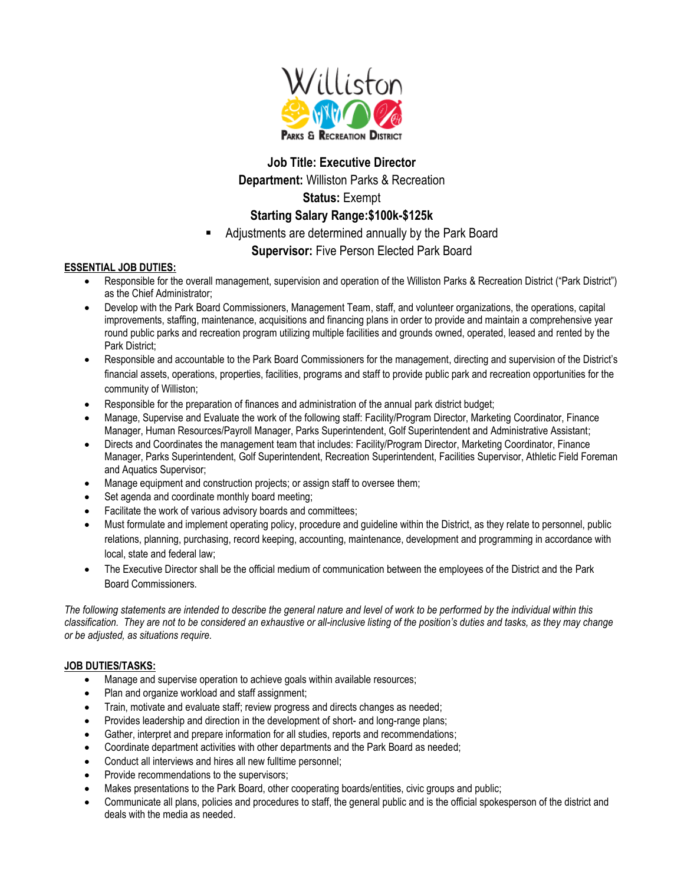

## **Job Title: Executive Director**

**Department:** Williston Parks & Recreation

# **Status:** Exempt

# **Starting Salary Range:\$100k-\$125k**

Adjustments are determined annually by the Park Board

# **Supervisor:** Five Person Elected Park Board

### **ESSENTIAL JOB DUTIES:**

- Responsible for the overall management, supervision and operation of the Williston Parks & Recreation District ("Park District") as the Chief Administrator;
- Develop with the Park Board Commissioners, Management Team, staff, and volunteer organizations, the operations, capital improvements, staffing, maintenance, acquisitions and financing plans in order to provide and maintain a comprehensive year round public parks and recreation program utilizing multiple facilities and grounds owned, operated, leased and rented by the Park District;
- Responsible and accountable to the Park Board Commissioners for the management, directing and supervision of the District's financial assets, operations, properties, facilities, programs and staff to provide public park and recreation opportunities for the community of Williston;
- Responsible for the preparation of finances and administration of the annual park district budget;
- Manage, Supervise and Evaluate the work of the following staff: Facility/Program Director, Marketing Coordinator, Finance Manager, Human Resources/Payroll Manager, Parks Superintendent, Golf Superintendent and Administrative Assistant;
- Directs and Coordinates the management team that includes: Facility/Program Director, Marketing Coordinator, Finance Manager, Parks Superintendent, Golf Superintendent, Recreation Superintendent, Facilities Supervisor, Athletic Field Foreman and Aquatics Supervisor;
- Manage equipment and construction projects; or assign staff to oversee them;
- Set agenda and coordinate monthly board meeting;
- Facilitate the work of various advisory boards and committees;
- Must formulate and implement operating policy, procedure and guideline within the District, as they relate to personnel, public relations, planning, purchasing, record keeping, accounting, maintenance, development and programming in accordance with local, state and federal law;
- The Executive Director shall be the official medium of communication between the employees of the District and the Park Board Commissioners.

*The following statements are intended to describe the general nature and level of work to be performed by the individual within this classification. They are not to be considered an exhaustive or all-inclusive listing of the position's duties and tasks, as they may change or be adjusted, as situations require.*

## **JOB DUTIES/TASKS:**

- Manage and supervise operation to achieve goals within available resources;
- Plan and organize workload and staff assignment;
- Train, motivate and evaluate staff; review progress and directs changes as needed;
- Provides leadership and direction in the development of short- and long-range plans;
- Gather, interpret and prepare information for all studies, reports and recommendations;
- Coordinate department activities with other departments and the Park Board as needed;
- Conduct all interviews and hires all new fulltime personnel;
- Provide recommendations to the supervisors;
- Makes presentations to the Park Board, other cooperating boards/entities, civic groups and public;
- Communicate all plans, policies and procedures to staff, the general public and is the official spokesperson of the district and deals with the media as needed.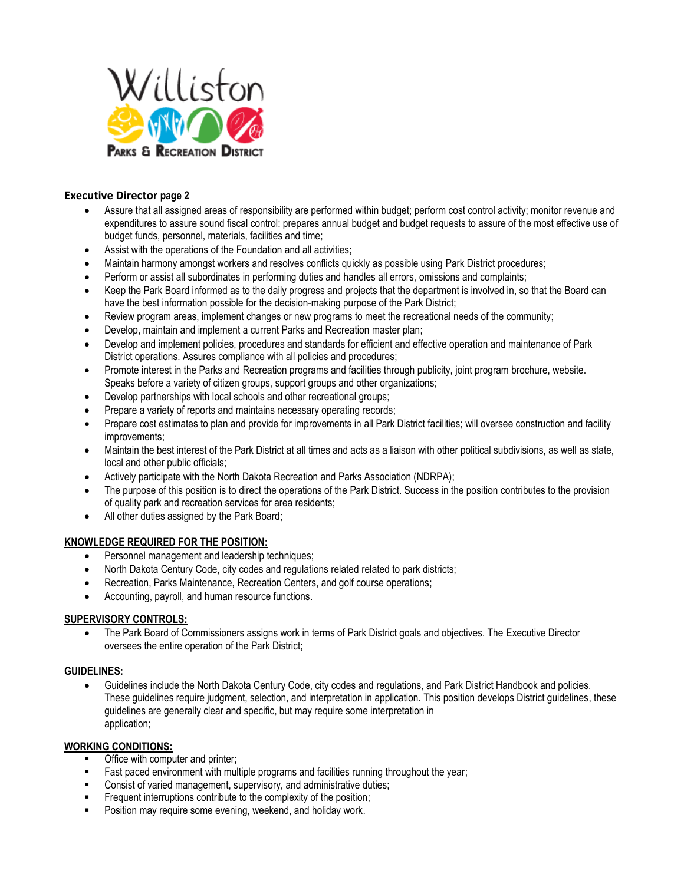

### **Executive Director page 2**

- Assure that all assigned areas of responsibility are performed within budget; perform cost control activity; monitor revenue and expenditures to assure sound fiscal control: prepares annual budget and budget requests to assure of the most effective use of budget funds, personnel, materials, facilities and time;
- Assist with the operations of the Foundation and all activities;
- Maintain harmony amongst workers and resolves conflicts quickly as possible using Park District procedures;
- Perform or assist all subordinates in performing duties and handles all errors, omissions and complaints;
- Keep the Park Board informed as to the daily progress and projects that the department is involved in, so that the Board can have the best information possible for the decision-making purpose of the Park District;
- Review program areas, implement changes or new programs to meet the recreational needs of the community;
- Develop, maintain and implement a current Parks and Recreation master plan;
- Develop and implement policies, procedures and standards for efficient and effective operation and maintenance of Park District operations. Assures compliance with all policies and procedures;
- Promote interest in the Parks and Recreation programs and facilities through publicity, joint program brochure, website. Speaks before a variety of citizen groups, support groups and other organizations;
- Develop partnerships with local schools and other recreational groups;
- Prepare a variety of reports and maintains necessary operating records;
- Prepare cost estimates to plan and provide for improvements in all Park District facilities; will oversee construction and facility improvements;
- Maintain the best interest of the Park District at all times and acts as a liaison with other political subdivisions, as well as state, local and other public officials;
- Actively participate with the North Dakota Recreation and Parks Association (NDRPA);
- The purpose of this position is to direct the operations of the Park District. Success in the position contributes to the provision of quality park and recreation services for area residents;
- All other duties assigned by the Park Board;

#### **KNOWLEDGE REQUIRED FOR THE POSITION:**

- Personnel management and leadership techniques;
- North Dakota Century Code, city codes and regulations related related to park districts;
- Recreation, Parks Maintenance, Recreation Centers, and golf course operations;
- Accounting, payroll, and human resource functions.

#### **SUPERVISORY CONTROLS:**

• The Park Board of Commissioners assigns work in terms of Park District goals and objectives. The Executive Director oversees the entire operation of the Park District;

#### **GUIDELINES:**

• Guidelines include the North Dakota Century Code, city codes and regulations, and Park District Handbook and policies. These guidelines require judgment, selection, and interpretation in application. This position develops District guidelines, these guidelines are generally clear and specific, but may require some interpretation in application;

#### **WORKING CONDITIONS:**

- Office with computer and printer;
- Fast paced environment with multiple programs and facilities running throughout the year;
- Consist of varied management, supervisory, and administrative duties;
- **EXECUTE:** Frequent interruptions contribute to the complexity of the position;
- Position may require some evening, weekend, and holiday work.